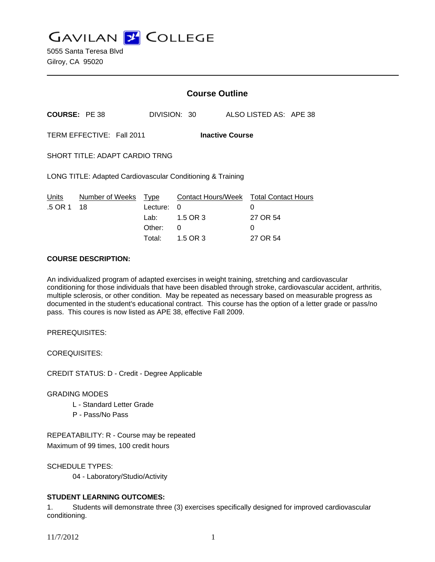**GAVILAN J COLLEGE** 

|                                                            |                 | <b>Course Outline</b> |              |  |                                        |
|------------------------------------------------------------|-----------------|-----------------------|--------------|--|----------------------------------------|
| <b>COURSE: PE 38</b>                                       |                 |                       | DIVISION: 30 |  | ALSO LISTED AS: APE 38                 |
| TERM EFFECTIVE: Fall 2011<br><b>Inactive Course</b>        |                 |                       |              |  |                                        |
| <b>SHORT TITLE: ADAPT CARDIO TRNG</b>                      |                 |                       |              |  |                                        |
| LONG TITLE: Adapted Cardiovascular Conditioning & Training |                 |                       |              |  |                                        |
| Units                                                      | Number of Weeks | Type                  |              |  | Contact Hours/Week Total Contact Hours |
| .5 OR 1                                                    | 18              | Lecture:              | 0            |  | 0                                      |
|                                                            |                 | Lab: Lab              | 1.5 OR 3     |  | 27 OR 54                               |
|                                                            |                 | Other:                | 0            |  | 0                                      |
|                                                            |                 | Total:                | 1.5 OR 3     |  | 27 OR 54                               |

#### **COURSE DESCRIPTION:**

An individualized program of adapted exercises in weight training, stretching and cardiovascular conditioning for those individuals that have been disabled through stroke, cardiovascular accident, arthritis, multiple sclerosis, or other condition. May be repeated as necessary based on measurable progress as documented in the student's educational contract. This course has the option of a letter grade or pass/no pass. This coures is now listed as APE 38, effective Fall 2009.

PREREQUISITES:

COREQUISITES:

CREDIT STATUS: D - Credit - Degree Applicable

## GRADING MODES

- L Standard Letter Grade
- P Pass/No Pass

REPEATABILITY: R - Course may be repeated Maximum of 99 times, 100 credit hours

SCHEDULE TYPES:

04 - Laboratory/Studio/Activity

# **STUDENT LEARNING OUTCOMES:**

1. Students will demonstrate three (3) exercises specifically designed for improved cardiovascular conditioning.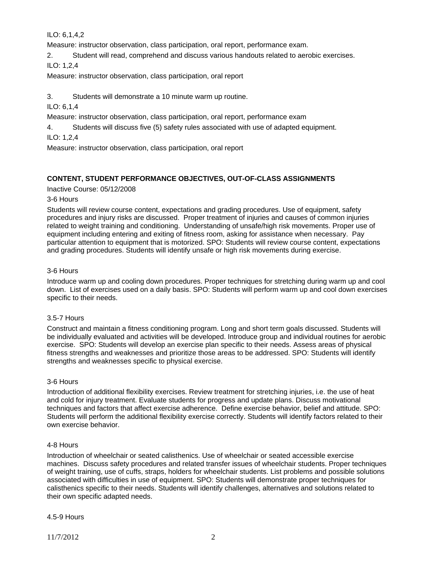ILO: 6,1,4,2

Measure: instructor observation, class participation, oral report, performance exam.

2. Student will read, comprehend and discuss various handouts related to aerobic exercises.

ILO: 1,2,4

Measure: instructor observation, class participation, oral report

3. Students will demonstrate a 10 minute warm up routine.

ILO: 6,1,4

Measure: instructor observation, class participation, oral report, performance exam

4. Students will discuss five (5) safety rules associated with use of adapted equipment.

ILO: 1,2,4

Measure: instructor observation, class participation, oral report

# **CONTENT, STUDENT PERFORMANCE OBJECTIVES, OUT-OF-CLASS ASSIGNMENTS**

Inactive Course: 05/12/2008

## 3-6 Hours

Students will review course content, expectations and grading procedures. Use of equipment, safety procedures and injury risks are discussed. Proper treatment of injuries and causes of common injuries related to weight training and conditioning. Understanding of unsafe/high risk movements. Proper use of equipment including entering and exiting of fitness room, asking for assistance when necessary. Pay particular attention to equipment that is motorized. SPO: Students will review course content, expectations and grading procedures. Students will identify unsafe or high risk movements during exercise.

## 3-6 Hours

Introduce warm up and cooling down procedures. Proper techniques for stretching during warm up and cool down. List of exercises used on a daily basis. SPO: Students will perform warm up and cool down exercises specific to their needs.

## 3.5-7 Hours

Construct and maintain a fitness conditioning program. Long and short term goals discussed. Students will be individually evaluated and activities will be developed. Introduce group and individual routines for aerobic exercise. SPO: Students will develop an exercise plan specific to their needs. Assess areas of physical fitness strengths and weaknesses and prioritize those areas to be addressed. SPO: Students will identify strengths and weaknesses specific to physical exercise.

## 3-6 Hours

Introduction of additional flexibility exercises. Review treatment for stretching injuries, i.e. the use of heat and cold for injury treatment. Evaluate students for progress and update plans. Discuss motivational techniques and factors that affect exercise adherence. Define exercise behavior, belief and attitude. SPO: Students will perform the additional flexibility exercise correctly. Students will identify factors related to their own exercise behavior.

# 4-8 Hours

Introduction of wheelchair or seated calisthenics. Use of wheelchair or seated accessible exercise machines. Discuss safety procedures and related transfer issues of wheelchair students. Proper techniques of weight training, use of cuffs, straps, holders for wheelchair students. List problems and possible solutions associated with difficulties in use of equipment. SPO: Students will demonstrate proper techniques for calisthenics specific to their needs. Students will identify challenges, alternatives and solutions related to their own specific adapted needs.

## 4.5-9 Hours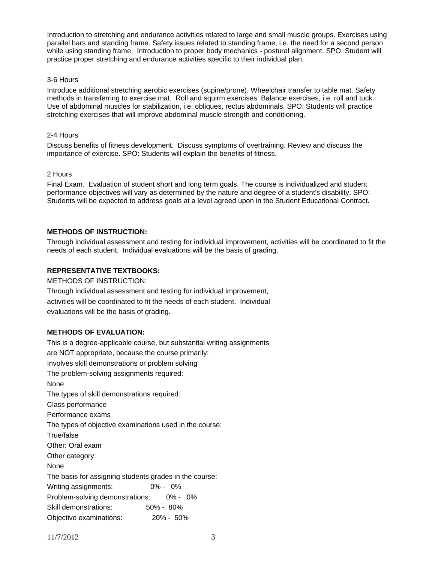Introduction to stretching and endurance activities related to large and small muscle groups. Exercises using parallel bars and standing frame. Safety issues related to standing frame, i.e. the need for a second person while using standing frame. Introduction to proper body mechanics - postural alignment. SPO: Student will practice proper stretching and endurance activities specific to their individual plan.

#### 3-6 Hours

Introduce additional stretching aerobic exercises (supine/prone). Wheelchair transfer to table mat. Safety methods in transferring to exercise mat. Roll and squirm exercises. Balance exercises, i.e. roll and tuck. Use of abdominal muscles for stabilization, i.e. obliques, rectus abdominals. SPO: Students will practice stretching exercises that will improve abdominal muscle strength and conditioning.

#### 2-4 Hours

Discuss benefits of fitness development. Discuss symptoms of overtraining. Review and discuss the importance of exercise. SPO: Students will explain the benefits of fitness.

#### 2 Hours

Final Exam. Evaluation of student short and long term goals. The course is individualized and student performance objectives will vary as determined by the nature and degree of a student's disability. SPO: Students will be expected to address goals at a level agreed upon in the Student Educational Contract.

# **METHODS OF INSTRUCTION:**

Through individual assessment and testing for individual improvement, activities will be coordinated to fit the needs of each student. Individual evaluations will be the basis of grading.

## **REPRESENTATIVE TEXTBOOKS:**

METHODS OF INSTRUCTION:

Through individual assessment and testing for individual improvement, activities will be coordinated to fit the needs of each student. Individual evaluations will be the basis of grading.

## **METHODS OF EVALUATION:**

This is a degree-applicable course, but substantial writing assignments are NOT appropriate, because the course primarily: Involves skill demonstrations or problem solving The problem-solving assignments required: None The types of skill demonstrations required: Class performance Performance exams The types of objective examinations used in the course: True/false Other: Oral exam Other category: None The basis for assigning students grades in the course: Writing assignments: 0% - 0% Problem-solving demonstrations: 0% - 0% Skill demonstrations: 50% - 80% Objective examinations: 20% - 50%